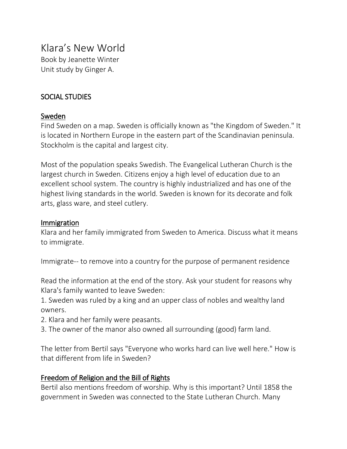# Klara's New World

Book by Jeanette Winter Unit study by Ginger A.

## SOCIAL STUDIES

## Sweden

Find Sweden on a map. Sweden is officially known as "the Kingdom of Sweden." It is located in Northern Europe in the eastern part of the Scandinavian peninsula. Stockholm is the capital and largest city.

Most of the population speaks Swedish. The Evangelical Lutheran Church is the largest church in Sweden. Citizens enjoy a high level of education due to an excellent school system. The country is highly industrialized and has one of the highest living standards in the world. Sweden is known for its decorate and folk arts, glass ware, and steel cutlery.

### Immigration

Klara and her family immigrated from Sweden to America. Discuss what it means to immigrate.

Immigrate-- to remove into a country for the purpose of permanent residence

Read the information at the end of the story. Ask your student for reasons why Klara's family wanted to leave Sweden:

1. Sweden was ruled by a king and an upper class of nobles and wealthy land owners.

- 2. Klara and her family were peasants.
- 3. The owner of the manor also owned all surrounding (good) farm land.

The letter from Bertil says "Everyone who works hard can live well here." How is that different from life in Sweden?

### Freedom of Religion and the Bill of Rights

Bertil also mentions freedom of worship. Why is this important? Until 1858 the government in Sweden was connected to the State Lutheran Church. Many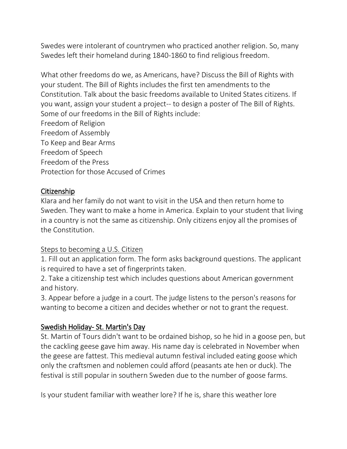Swedes were intolerant of countrymen who practiced another religion. So, many Swedes left their homeland during 1840-1860 to find religious freedom.

What other freedoms do we, as Americans, have? Discuss the Bill of Rights with your student. The Bill of Rights includes the first ten amendments to the Constitution. Talk about the basic freedoms available to United States citizens. If you want, assign your student a project-- to design a poster of The Bill of Rights. Some of our freedoms in the Bill of Rights include: Freedom of Religion Freedom of Assembly To Keep and Bear Arms Freedom of Speech Freedom of the Press Protection for those Accused of Crimes

## Citizenship

Klara and her family do not want to visit in the USA and then return home to Sweden. They want to make a home in America. Explain to your student that living in a country is not the same as citizenship. Only citizens enjoy all the promises of the Constitution.

## Steps to becoming a U.S. Citizen

1. Fill out an application form. The form asks background questions. The applicant is required to have a set of fingerprints taken.

2. Take a citizenship test which includes questions about American government and history.

3. Appear before a judge in a court. The judge listens to the person's reasons for wanting to become a citizen and decides whether or not to grant the request.

## Swedish Holiday- St. Martin's Day

St. Martin of Tours didn't want to be ordained bishop, so he hid in a goose pen, but the cackling geese gave him away. His name day is celebrated in November when the geese are fattest. This medieval autumn festival included eating goose which only the craftsmen and noblemen could afford (peasants ate hen or duck). The festival is still popular in southern Sweden due to the number of goose farms.

Is your student familiar with weather lore? If he is, share this weather lore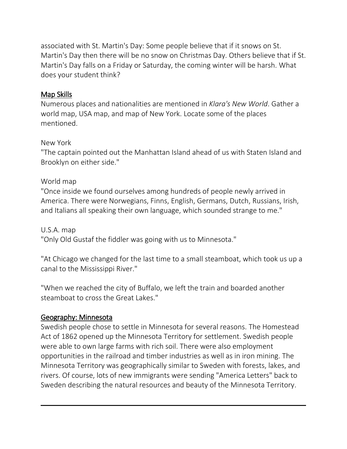associated with St. Martin's Day: Some people believe that if it snows on St. Martin's Day then there will be no snow on Christmas Day. Others believe that if St. Martin's Day falls on a Friday or Saturday, the coming winter will be harsh. What does your student think?

## Map Skills

Numerous places and nationalities are mentioned in *Klara's New World*. Gather a world map, USA map, and map of New York. Locate some of the places mentioned.

### New York

"The captain pointed out the Manhattan Island ahead of us with Staten Island and Brooklyn on either side."

## World map

"Once inside we found ourselves among hundreds of people newly arrived in America. There were Norwegians, Finns, English, Germans, Dutch, Russians, Irish, and Italians all speaking their own language, which sounded strange to me."

U.S.A. map "Only Old Gustaf the fiddler was going with us to Minnesota."

"At Chicago we changed for the last time to a small steamboat, which took us up a canal to the Mississippi River."

"When we reached the city of Buffalo, we left the train and boarded another steamboat to cross the Great Lakes."

## Geography: Minnesota

Swedish people chose to settle in Minnesota for several reasons. The Homestead Act of 1862 opened up the Minnesota Territory for settlement. Swedish people were able to own large farms with rich soil. There were also employment opportunities in the railroad and timber industries as well as in iron mining. The Minnesota Territory was geographically similar to Sweden with forests, lakes, and rivers. Of course, lots of new immigrants were sending "America Letters" back to Sweden describing the natural resources and beauty of the Minnesota Territory.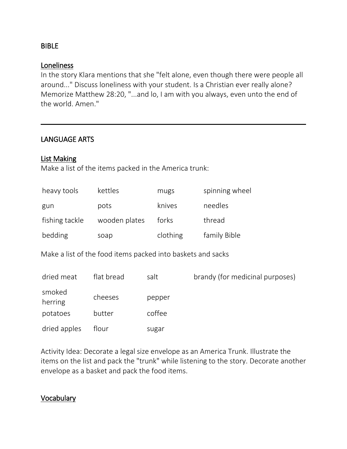### BIBLE

### Loneliness

In the story Klara mentions that she "felt alone, even though there were people all around..." Discuss loneliness with your student. Is a Christian ever really alone? Memorize Matthew 28:20, "...and lo, I am with you always, even unto the end of the world. Amen."

## LANGUAGE ARTS

### List Making

Make a list of the items packed in the America trunk:

| heavy tools    | kettles       | mugs     | spinning wheel |
|----------------|---------------|----------|----------------|
| gun            | pots          | knives   | needles        |
| fishing tackle | wooden plates | forks    | thread         |
| bedding        | soap          | clothing | family Bible   |

Make a list of the food items packed into baskets and sacks

| dried meat        | flat bread | salt   | brandy (for medicinal purposes) |
|-------------------|------------|--------|---------------------------------|
| smoked<br>herring | cheeses    | pepper |                                 |
| potatoes          | butter     | coffee |                                 |
| dried apples      | flour      | sugar  |                                 |

Activity Idea: Decorate a legal size envelope as an America Trunk. Illustrate the items on the list and pack the "trunk" while listening to the story. Decorate another envelope as a basket and pack the food items.

### **Vocabulary**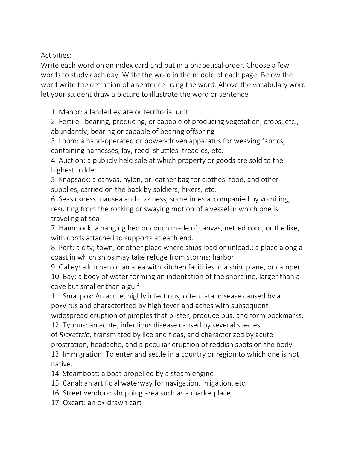Activities:

Write each word on an index card and put in alphabetical order. Choose a few words to study each day. Write the word in the middle of each page. Below the word write the definition of a sentence using the word. Above the vocabulary word let your student draw a picture to illustrate the word or sentence.

1. Manor: a landed estate or territorial unit

2. Fertile : bearing, producing, or capable of producing vegetation, crops, etc., abundantly; bearing or capable of bearing offspring

3. Loom: a hand-operated or power-driven apparatus for weaving fabrics, containing harnesses, lay, reed, shuttles, treadles, etc.

4. Auction: a publicly held sale at which property or goods are sold to the highest bidder

5. Knapsack: a canvas, nylon, or leather bag for clothes, food, and other supplies, carried on the back by soldiers, hikers, etc.

6. Seasickness: nausea and dizziness, sometimes accompanied by vomiting, resulting from the rocking or swaying motion of a vessel in which one is traveling at sea

7. Hammock: a hanging bed or couch made of canvas, netted cord, or the like, with cords attached to supports at each end.

8. Port: a city, town, or other place where ships load or unload.; a place along a coast in which ships may take refuge from storms; harbor.

9. Galley: a kitchen or an area with kitchen facilities in a ship, plane, or camper 10. Bay: a body of water forming an indentation of the shoreline, larger than a cove but smaller than a gulf

11. Smallpox: An acute, highly infectious, often fatal disease caused by a poxvirus and characterized by high fever and aches with subsequent

widespread eruption of pimples that blister, produce pus, and form pockmarks. 12. Typhus: an acute, infectious disease caused by several species

of *Rickettsia,* transmitted by lice and fleas, and characterized by acute prostration, headache, and a peculiar eruption of reddish spots on the body.

13. Immigration: To enter and settle in a country or region to which one is not native.

14. Steamboat: a boat propelled by a steam engine

15. Canal: an artificial waterway for navigation, irrigation, etc.

16. Street vendors: shopping area such as a marketplace

17. Oxcart: an ox-drawn cart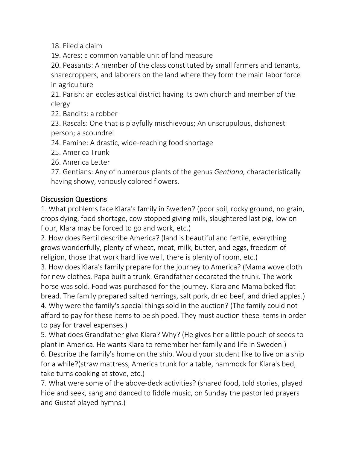18. Filed a claim

19. Acres: a common variable unit of land measure

20. Peasants: A member of the class constituted by small farmers and tenants, sharecroppers, and laborers on the land where they form the main labor force in agriculture

21. Parish: an ecclesiastical district having its own church and member of the clergy

22. Bandits: a robber

23. Rascals: One that is playfully mischievous; An unscrupulous, dishonest person; a scoundrel

24. Famine: A drastic, wide-reaching food shortage

25. America Trunk

26. America Letter

27. Gentians: Any of numerous plants of the genus *Gentiana,* characteristically having showy, variously colored flowers.

## Discussion Questions

1. What problems face Klara's family in Sweden? (poor soil, rocky ground, no grain, crops dying, food shortage, cow stopped giving milk, slaughtered last pig, low on flour, Klara may be forced to go and work, etc.)

2. How does Bertil describe America? (land is beautiful and fertile, everything grows wonderfully, plenty of wheat, meat, milk, butter, and eggs, freedom of religion, those that work hard live well, there is plenty of room, etc.)

3. How does Klara's family prepare for the journey to America? (Mama wove cloth for new clothes. Papa built a trunk. Grandfather decorated the trunk. The work horse was sold. Food was purchased for the journey. Klara and Mama baked flat bread. The family prepared salted herrings, salt pork, dried beef, and dried apples.) 4. Why were the family's special things sold in the auction? (The family could not afford to pay for these items to be shipped. They must auction these items in order to pay for travel expenses.)

5. What does Grandfather give Klara? Why? (He gives her a little pouch of seeds to plant in America. He wants Klara to remember her family and life in Sweden.) 6. Describe the family's home on the ship. Would your student like to live on a ship for a while?(straw mattress, America trunk for a table, hammock for Klara's bed, take turns cooking at stove, etc.)

7. What were some of the above-deck activities? (shared food, told stories, played hide and seek, sang and danced to fiddle music, on Sunday the pastor led prayers and Gustaf played hymns.)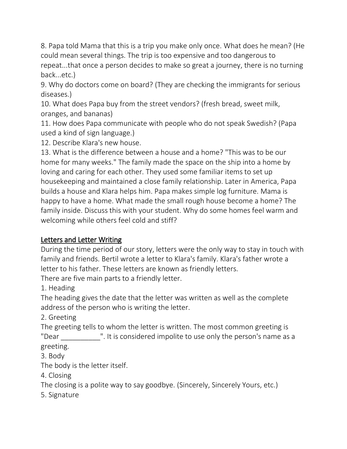8. Papa told Mama that this is a trip you make only once. What does he mean? (He could mean several things. The trip is too expensive and too dangerous to repeat...that once a person decides to make so great a journey, there is no turning back...etc.)

9. Why do doctors come on board? (They are checking the immigrants for serious diseases.)

10. What does Papa buy from the street vendors? (fresh bread, sweet milk, oranges, and bananas)

11. How does Papa communicate with people who do not speak Swedish? (Papa used a kind of sign language.)

12. Describe Klara's new house.

13. What is the difference between a house and a home? "This was to be our home for many weeks." The family made the space on the ship into a home by loving and caring for each other. They used some familiar items to set up housekeeping and maintained a close family relationship. Later in America, Papa builds a house and Klara helps him. Papa makes simple log furniture. Mama is happy to have a home. What made the small rough house become a home? The family inside. Discuss this with your student. Why do some homes feel warm and welcoming while others feel cold and stiff?

## Letters and Letter Writing

During the time period of our story, letters were the only way to stay in touch with family and friends. Bertil wrote a letter to Klara's family. Klara's father wrote a letter to his father. These letters are known as friendly letters.

There are five main parts to a friendly letter.

1. Heading

The heading gives the date that the letter was written as well as the complete address of the person who is writing the letter.

2. Greeting

The greeting tells to whom the letter is written. The most common greeting is "Dear ". It is considered impolite to use only the person's name as a greeting.

3. Body

The body is the letter itself.

4. Closing

The closing is a polite way to say goodbye. (Sincerely, Sincerely Yours, etc.)

5. Signature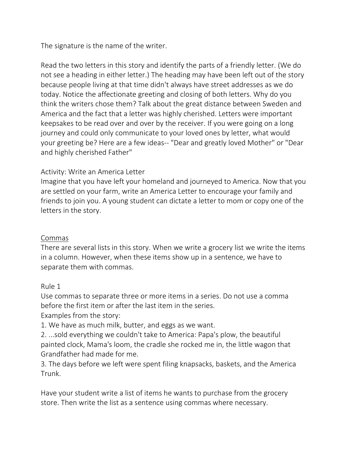The signature is the name of the writer.

Read the two letters in this story and identify the parts of a friendly letter. (We do not see a heading in either letter.) The heading may have been left out of the story because people living at that time didn't always have street addresses as we do today. Notice the affectionate greeting and closing of both letters. Why do you think the writers chose them? Talk about the great distance between Sweden and America and the fact that a letter was highly cherished. Letters were important keepsakes to be read over and over by the receiver. If you were going on a long journey and could only communicate to your loved ones by letter, what would your greeting be? Here are a few ideas-- "Dear and greatly loved Mother" or "Dear and highly cherished Father"

## Activity: Write an America Letter

Imagine that you have left your homeland and journeyed to America. Now that you are settled on your farm, write an America Letter to encourage your family and friends to join you. A young student can dictate a letter to mom or copy one of the letters in the story.

### Commas

There are several lists in this story. When we write a grocery list we write the items in a column. However, when these items show up in a sentence, we have to separate them with commas.

### Rule 1

Use commas to separate three or more items in a series. Do not use a comma before the first item or after the last item in the series.

Examples from the story:

1. We have as much milk, butter, and eggs as we want.

2. ...sold everything we couldn't take to America: Papa's plow, the beautiful painted clock, Mama's loom, the cradle she rocked me in, the little wagon that Grandfather had made for me.

3. The days before we left were spent filing knapsacks, baskets, and the America Trunk.

Have your student write a list of items he wants to purchase from the grocery store. Then write the list as a sentence using commas where necessary.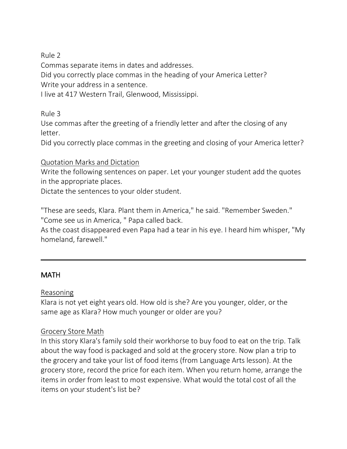Rule 2

Commas separate items in dates and addresses.

Did you correctly place commas in the heading of your America Letter? Write your address in a sentence.

I live at 417 Western Trail, Glenwood, Mississippi.

Rule 3

Use commas after the greeting of a friendly letter and after the closing of any letter.

Did you correctly place commas in the greeting and closing of your America letter?

## Quotation Marks and Dictation

Write the following sentences on paper. Let your younger student add the quotes in the appropriate places.

Dictate the sentences to your older student.

"These are seeds, Klara. Plant them in America," he said. "Remember Sweden." "Come see us in America, " Papa called back.

As the coast disappeared even Papa had a tear in his eye. I heard him whisper, "My homeland, farewell."

## **MATH**

### Reasoning

Klara is not yet eight years old. How old is she? Are you younger, older, or the same age as Klara? How much younger or older are you?

## Grocery Store Math

In this story Klara's family sold their workhorse to buy food to eat on the trip. Talk about the way food is packaged and sold at the grocery store. Now plan a trip to the grocery and take your list of food items (from Language Arts lesson). At the grocery store, record the price for each item. When you return home, arrange the items in order from least to most expensive. What would the total cost of all the items on your student's list be?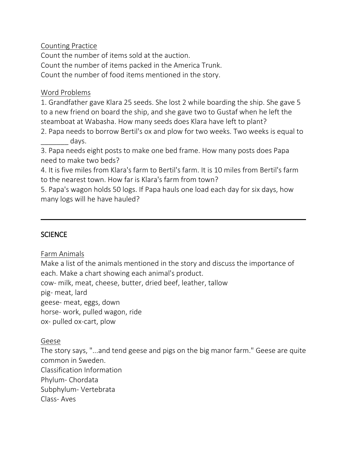### Counting Practice

Count the number of items sold at the auction. Count the number of items packed in the America Trunk. Count the number of food items mentioned in the story.

### Word Problems

1. Grandfather gave Klara 25 seeds. She lost 2 while boarding the ship. She gave 5 to a new friend on board the ship, and she gave two to Gustaf when he left the steamboat at Wabasha. How many seeds does Klara have left to plant?

2. Papa needs to borrow Bertil's ox and plow for two weeks. Two weeks is equal to days.

3. Papa needs eight posts to make one bed frame. How many posts does Papa need to make two beds?

4. It is five miles from Klara's farm to Bertil's farm. It is 10 miles from Bertil's farm to the nearest town. How far is Klara's farm from town?

5. Papa's wagon holds 50 logs. If Papa hauls one load each day for six days, how many logs will he have hauled?

## SCIENCE

Farm Animals

Make a list of the animals mentioned in the story and discuss the importance of each. Make a chart showing each animal's product. cow- milk, meat, cheese, butter, dried beef, leather, tallow pig- meat, lard geese- meat, eggs, down horse- work, pulled wagon, ride ox- pulled ox-cart, plow

### Geese

The story says, "...and tend geese and pigs on the big manor farm." Geese are quite common in Sweden. Classification Information Phylum- Chordata Subphylum- Vertebrata Class- Aves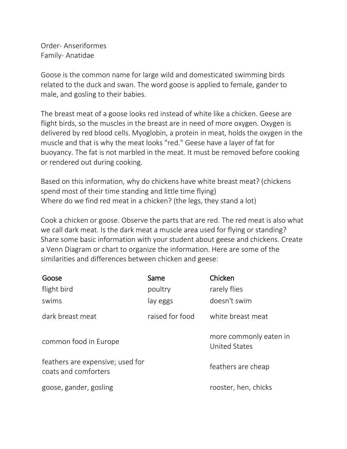Order- Anseriformes Family- Anatidae

Goose is the common name for large wild and domesticated swimming birds related to the duck and swan. The word goose is applied to female, gander to male, and gosling to their babies.

The breast meat of a goose looks red instead of white like a chicken. Geese are flight birds, so the muscles in the breast are in need of more oxygen. Oxygen is delivered by red blood cells. Myoglobin, a protein in meat, holds the oxygen in the muscle and that is why the meat looks "red." Geese have a layer of fat for buoyancy. The fat is not marbled in the meat. It must be removed before cooking or rendered out during cooking.

Based on this information, why do chickens have white breast meat? (chickens spend most of their time standing and little time flying) Where do we find red meat in a chicken? (the legs, they stand a lot)

Cook a chicken or goose. Observe the parts that are red. The red meat is also what we call dark meat. Is the dark meat a muscle area used for flying or standing? Share some basic information with your student about geese and chickens. Create a Venn Diagram or chart to organize the information. Here are some of the similarities and differences between chicken and geese:

| Goose                                                    | Same            | Chicken                                        |
|----------------------------------------------------------|-----------------|------------------------------------------------|
| flight bird                                              | poultry         | rarely flies                                   |
| swims                                                    | lay eggs        | doesn't swim                                   |
| dark breast meat                                         | raised for food | white breast meat                              |
| common food in Europe                                    |                 | more commonly eaten in<br><b>United States</b> |
| feathers are expensive; used for<br>coats and comforters |                 | feathers are cheap                             |
| goose, gander, gosling                                   |                 | rooster, hen, chicks                           |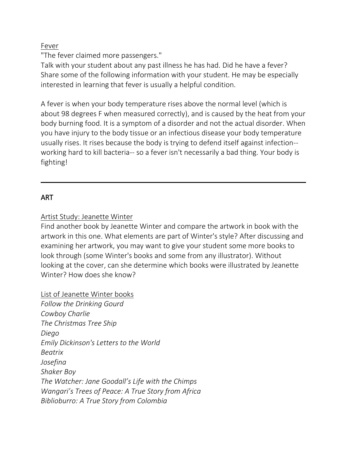### Fever

"The fever claimed more passengers."

Talk with your student about any past illness he has had. Did he have a fever? Share some of the following information with your student. He may be especially interested in learning that fever is usually a helpful condition.

A fever is when your body temperature rises above the normal level (which is about 98 degrees F when measured correctly), and is caused by the heat from your body burning food. It is a symptom of a disorder and not the actual disorder. When you have injury to the body tissue or an infectious disease your body temperature usually rises. It rises because the body is trying to defend itself against infection- working hard to kill bacteria-- so a fever isn't necessarily a bad thing. Your body is fighting!

## ART

Artist Study: Jeanette Winter

Find another book by Jeanette Winter and compare the artwork in book with the artwork in this one. What elements are part of Winter's style? After discussing and examining her artwork, you may want to give your student some more books to look through (some Winter's books and some from any illustrator). Without looking at the cover, can she determine which books were illustrated by Jeanette Winter? How does she know?

List of Jeanette Winter books

*Follow the Drinking Gourd Cowboy Charlie The Christmas Tree Ship Diego Emily Dickinson's Letters to the World Beatrix Josefina Shaker Boy The Watcher: Jane Goodall's Life with the Chimps Wangari's Trees of Peace: A True Story from Africa Biblioburro: A True Story from Colombia*